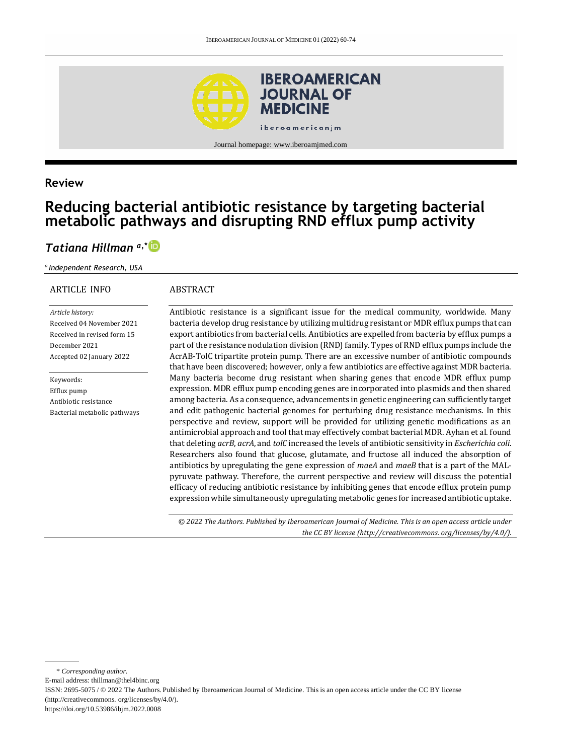

### **Review**

# **Reducing bacterial antibiotic resistance by targeting bacterial metabolic pathways and disrupting RND efflux pump activity**

## *Tatiana Hillman a,\**

*<sup>a</sup>Independent Research, USA*

#### ARTICLE INFO

#### ABSTRACT

*Article history:* Received 04 November 2021 Received in revised form 15 December 2021 Accepted 02 January 2022

Keywords: Efflux pump Antibiotic resistance Bacterial metabolic pathways Antibiotic resistance is a significant issue for the medical community, worldwide. Many bacteria develop drug resistance by utilizing multidrug resistant or MDR efflux pumps that can export antibiotics from bacterial cells. Antibiotics are expelled from bacteria by efflux pumps a part of the resistance nodulation division (RND) family. Types of RND efflux pumps include the AcrAB-TolC tripartite protein pump. There are an excessive number of antibiotic compounds that have been discovered; however, only a few antibiotics are effective against MDR bacteria. Many bacteria become drug resistant when sharing genes that encode MDR efflux pump expression. MDR efflux pump encoding genes are incorporated into plasmids and then shared among bacteria. As a consequence, advancements in genetic engineering can sufficiently target and edit pathogenic bacterial genomes for perturbing drug resistance mechanisms. In this perspective and review, support will be provided for utilizing genetic modifications as an antimicrobial approach and tool that may effectively combat bacterial MDR. Ayhan et al. found that deleting *acrB*, *acrA*, and *tolC* increased the levels of antibiotic sensitivity in *Escherichia coli*. Researchers also found that glucose, glutamate, and fructose all induced the absorption of antibiotics by upregulating the gene expression of *maeA* and *maeB* that is a part of the MALpyruvate pathway. Therefore, the current perspective and review will discuss the potential efficacy of reducing antibiotic resistance by inhibiting genes that encode efflux protein pump expression while simultaneously upregulating metabolic genes for increased antibiotic uptake.

*© 2022 The Authors. Published by Iberoamerican Journal of Medicine. This is an open access article under the CC BY license (http:/[/creativecommons. org/licenses/by/4.0/\)](https://creativecommons.org/licenses/by/4.0/).*

\* *Corresponding author.*

E-mail address: [thillman@thel4binc.org](mailto:thillman@thel4binc.org)

<https://doi.org/10.53986/ibjm.2022.0008>

ISSN: 2695-5075 / © 2022 The Authors. Published by Iberoamerican Journal of Medicine. This is an open access article under the CC BY license (http:/[/creativecommons. org/licenses/by/4.0/\).](https://creativecommons.org/licenses/by/4.0/)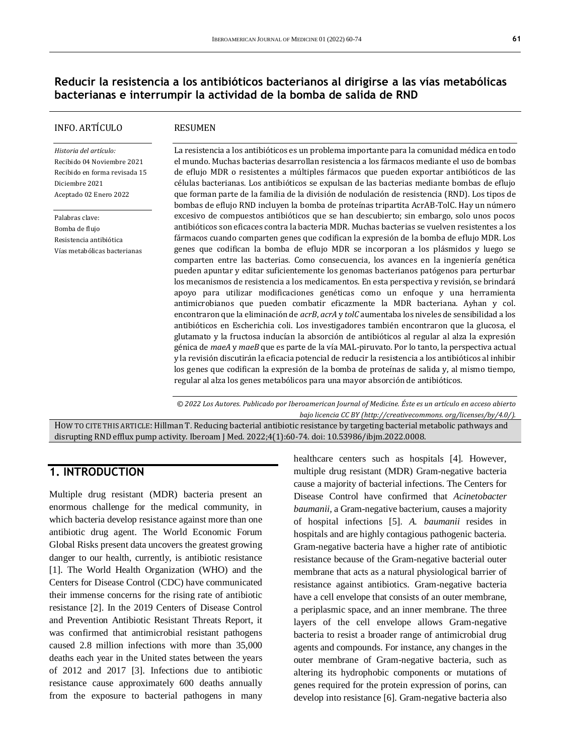### **Reducir la resistencia a los antibióticos bacterianos al dirigirse a las vías metabólicas bacterianas e interrumpir la actividad de la bomba de salida de RND**

#### INFO. ARTÍCULO

#### RESUMEN

*Historia del artículo:*  Recibido 04 Noviembre 2021 Recibido en forma revisada 15 Diciembre 2021 Aceptado 02 Enero 2022

Palabras clave: Bomba de flujo Resistencia antibiótica Vías metabólicas bacterianas La resistencia a los antibióticos es un problema importante para la comunidad médica en todo el mundo. Muchas bacterias desarrollan resistencia a los fármacos mediante el uso de bombas de eflujo MDR o resistentes a múltiples fármacos que pueden exportar antibióticos de las células bacterianas. Los antibióticos se expulsan de las bacterias mediante bombas de eflujo que forman parte de la familia de la división de nodulación de resistencia (RND). Los tipos de bombas de eflujo RND incluyen la bomba de proteínas tripartita AcrAB-TolC. Hay un número excesivo de compuestos antibióticos que se han descubierto; sin embargo, solo unos pocos antibióticos son eficaces contra la bacteria MDR. Muchas bacterias se vuelven resistentes a los fármacos cuando comparten genes que codifican la expresión de la bomba de eflujo MDR. Los genes que codifican la bomba de eflujo MDR se incorporan a los plásmidos y luego se comparten entre las bacterias. Como consecuencia, los avances en la ingeniería genética pueden apuntar y editar suficientemente los genomas bacterianos patógenos para perturbar los mecanismos de resistencia a los medicamentos. En esta perspectiva y revisión, se brindará apoyo para utilizar modificaciones genéticas como un enfoque y una herramienta antimicrobianos que pueden combatir eficazmente la MDR bacteriana. Ayhan y col. encontraron que la eliminación de *acrB*, *acrA* y *tolC* aumentaba los niveles de sensibilidad a los antibióticos en Escherichia coli. Los investigadores también encontraron que la glucosa, el glutamato y la fructosa inducían la absorción de antibióticos al regular al alza la expresión génica de *maeA* y *maeB* que es parte de la vía MAL-piruvato. Por lo tanto, la perspectiva actual y la revisión discutirán la eficacia potencial de reducir la resistencia a los antibióticos al inhibir los genes que codifican la expresión de la bomba de proteínas de salida y, al mismo tiempo, regular al alza los genes metabólicos para una mayor absorción de antibióticos.

*© 2022 Los Autores. Publicado por Iberoamerican Journal of Medicine. Éste es un artículo en acceso abierto bajo licencia CC BY (http:/[/creativecommons. org/licenses/by/4.0/\)](https://creativecommons.org/licenses/by/4.0/).*

HOW TO CITE THIS ARTICLE: Hillman T. Reducing bacterial antibiotic resistance by targeting bacterial metabolic pathways and disrupting RND efflux pump activity. Iberoam J Med. 2022;4(1):60-74. doi[: 10.53986/ibjm.2022.0008.](https://doi.org/10.53986/ibjm.2022.0008)

#### **1. INTRODUCTION**

Multiple drug resistant (MDR) bacteria present an enormous challenge for the medical community, in which bacteria develop resistance against more than one antibiotic drug agent. The World Economic Forum Global Risks present data uncovers the greatest growing danger to our health, currently, is antibiotic resistance [1]. The World Health Organization (WHO) and the Centers for Disease Control (CDC) have communicated their immense concerns for the rising rate of antibiotic resistance [2]. In the 2019 Centers of Disease Control and Prevention Antibiotic Resistant Threats Report, it was confirmed that antimicrobial resistant pathogens caused 2.8 million infections with more than 35,000 deaths each year in the United states between the years of 2012 and 2017 [3]. Infections due to antibiotic resistance cause approximately 600 deaths annually from the exposure to bacterial pathogens in many

healthcare centers such as hospitals [4]. However, multiple drug resistant (MDR) Gram-negative bacteria cause a majority of bacterial infections. The Centers for Disease Control have confirmed that *Acinetobacter baumanii,* a Gram-negative bacterium, causes a majority of hospital infections [5]. *A. baumanii* resides in hospitals and are highly contagious pathogenic bacteria. Gram-negative bacteria have a higher rate of antibiotic resistance because of the Gram-negative bacterial outer membrane that acts as a natural physiological barrier of resistance against antibiotics. Gram-negative bacteria have a cell envelope that consists of an outer membrane, a periplasmic space, and an inner membrane. The three layers of the cell envelope allows Gram-negative bacteria to resist a broader range of antimicrobial drug agents and compounds. For instance, any changes in the outer membrane of Gram-negative bacteria, such as altering its hydrophobic components or mutations of genes required for the protein expression of porins, can develop into resistance [6]. Gram-negative bacteria also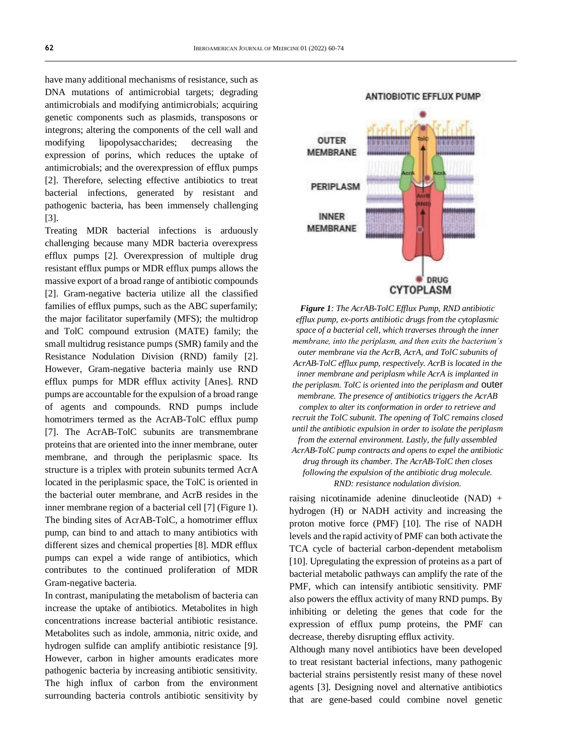have many additional mechanisms of resistance, such as DNA mutations of antimicrobial targets; degrading antimicrobials and modifying antimicrobials; acquiring genetic components such as plasmids, transposons or integrons; altering the components of the cell wall and modifying lipopolysaccharides; decreasing the expression of porins, which reduces the uptake of antimicrobials; and the overexpression of efflux pumps [2]. Therefore, selecting effective antibiotics to treat bacterial infections, generated by resistant and pathogenic bacteria, has been immensely challenging [3].

Treating MDR bacterial infections is arduously challenging because many MDR bacteria overexpress efflux pumps [2]. Overexpression of multiple drug resistant efflux pumps or MDR efflux pumps allows the massive export of a broad range of antibiotic compounds [2]. Gram-negative bacteria utilize all the classified families of efflux pumps, such as the ABC superfamily; the major facilitator superfamily (MFS); the multidrop and TolC compound extrusion (MATE) family; the small multidrug resistance pumps (SMR) family and the Resistance Nodulation Division (RND) family [2]. However, Gram-negative bacteria mainly use RND efflux pumps for MDR efflux activity [Anes]. RND pumps are accountable for the expulsion of a broad range of agents and compounds. RND pumps include homotrimers termed as the AcrAB-TolC efflux pump [7]. The AcrAB-TolC subunits are transmembrane proteins that are oriented into the inner membrane, outer membrane, and through the periplasmic space. Its structure is a triplex with protein subunits termed AcrA located in the periplasmic space, the TolC is oriented in the bacterial outer membrane, and AcrB resides in the inner membrane region of a bacterial cell [7] (Figure 1). The binding sites of AcrAB-TolC, a homotrimer efflux pump, can bind to and attach to many antibiotics with different sizes and chemical properties [8]. MDR efflux pumps can expel a wide range of antibiotics, which contributes to the continued proliferation of MDR Gram-negative bacteria.

In contrast, manipulating the metabolism of bacteria can increase the uptake of antibiotics. Metabolites in high concentrations increase bacterial antibiotic resistance. Metabolites such as indole, ammonia, nitric oxide, and hydrogen sulfide can amplify antibiotic resistance [9]. However, carbon in higher amounts eradicates more pathogenic bacteria by increasing antibiotic sensitivity. The high influx of carbon from the environment surrounding bacteria controls antibiotic sensitivity by



*Figure 1: The AcrAB-TolC Efflux Pump, RND antibiotic efflux pump, ex-ports antibiotic drugs from the cytoplasmic space of a bacterial cell, which traverses through the inner membrane, into the periplasm, and then exits the bacterium's outer membrane via the AcrB, AcrA, and TolC subunits of AcrAB-TolC efflux pump, respectively. AcrB is located in the inner membrane and periplasm while AcrA is implanted in the periplasm. TolC is oriented into the periplasm and* outer *membrane. The presence of antibiotics triggers the AcrAB complex to alter its conformation in order to retrieve and recruit the TolC subunit. The opening of TolC remains closed until the antibiotic expulsion in order to isolate the periplasm from the external environment. Lastly, the fully assembled AcrAB-TolC pump contracts and opens to expel the antibiotic drug through its chamber. The AcrAB-TolC then closes following the expulsion of the antibiotic drug molecule. RND: resistance nodulation division.*

raising nicotinamide adenine dinucleotide (NAD) + hydrogen (H) or NADH activity and increasing the proton motive force (PMF) [10]. The rise of NADH levels and the rapid activity of PMF can both activate the TCA cycle of bacterial carbon-dependent metabolism [10]. Upregulating the expression of proteins as a part of bacterial metabolic pathways can amplify the rate of the PMF, which can intensify antibiotic sensitivity. PMF also powers the efflux activity of many RND pumps. By inhibiting or deleting the genes that code for the expression of efflux pump proteins, the PMF can decrease, thereby disrupting efflux activity.

Although many novel antibiotics have been developed to treat resistant bacterial infections, many pathogenic bacterial strains persistently resist many of these novel agents [3]. Designing novel and alternative antibiotics that are gene-based could combine novel genetic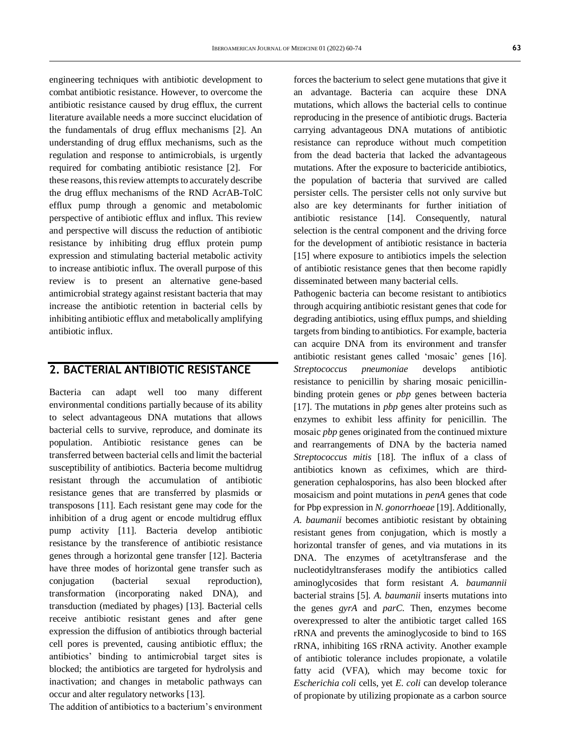engineering techniques with antibiotic development to combat antibiotic resistance. However, to overcome the antibiotic resistance caused by drug efflux, the current literature available needs a more succinct elucidation of the fundamentals of drug efflux mechanisms [2]. An understanding of drug efflux mechanisms, such as the regulation and response to antimicrobials, is urgently required for combating antibiotic resistance [2]. For these reasons, this review attempts to accurately describe the drug efflux mechanisms of the RND AcrAB-TolC efflux pump through a genomic and metabolomic perspective of antibiotic efflux and influx. This review and perspective will discuss the reduction of antibiotic resistance by inhibiting drug efflux protein pump expression and stimulating bacterial metabolic activity to increase antibiotic influx. The overall purpose of this review is to present an alternative gene-based antimicrobial strategy against resistant bacteria that may increase the antibiotic retention in bacterial cells by inhibiting antibiotic efflux and metabolically amplifying antibiotic influx.

## **2. BACTERIAL ANTIBIOTIC RESISTANCE**

Bacteria can adapt well too many different environmental conditions partially because of its ability to select advantageous DNA mutations that allows bacterial cells to survive, reproduce, and dominate its population. Antibiotic resistance genes can be transferred between bacterial cells and limit the bacterial susceptibility of antibiotics. Bacteria become multidrug resistant through the accumulation of antibiotic resistance genes that are transferred by plasmids or transposons [11]. Each resistant gene may code for the inhibition of a drug agent or encode multidrug efflux pump activity [11]. Bacteria develop antibiotic resistance by the transference of antibiotic resistance genes through a horizontal gene transfer [12]. Bacteria have three modes of horizontal gene transfer such as conjugation (bacterial sexual reproduction), transformation (incorporating naked DNA), and transduction (mediated by phages) [13]. Bacterial cells receive antibiotic resistant genes and after gene expression the diffusion of antibiotics through bacterial cell pores is prevented, causing antibiotic efflux; the antibiotics' binding to antimicrobial target sites is blocked; the antibiotics are targeted for hydrolysis and inactivation; and changes in metabolic pathways can occur and alter regulatory networks [13].

The addition of antibiotics to a bacterium's environment

forces the bacterium to select gene mutations that give it an advantage. Bacteria can acquire these DNA mutations, which allows the bacterial cells to continue reproducing in the presence of antibiotic drugs. Bacteria carrying advantageous DNA mutations of antibiotic resistance can reproduce without much competition from the dead bacteria that lacked the advantageous mutations. After the exposure to bactericide antibiotics, the population of bacteria that survived are called persister cells. The persister cells not only survive but also are key determinants for further initiation of antibiotic resistance [14]. Consequently, natural selection is the central component and the driving force for the development of antibiotic resistance in bacteria [15] where exposure to antibiotics impels the selection of antibiotic resistance genes that then become rapidly disseminated between many bacterial cells.

Pathogenic bacteria can become resistant to antibiotics through acquiring antibiotic resistant genes that code for degrading antibiotics, using efflux pumps, and shielding targets from binding to antibiotics. For example, bacteria can acquire DNA from its environment and transfer antibiotic resistant genes called 'mosaic' genes [16]. *Streptococcus pneumoniae* develops antibiotic resistance to penicillin by sharing mosaic penicillinbinding protein genes or *pbp* genes between bacteria [17]. The mutations in *pbp* genes alter proteins such as enzymes to exhibit less affinity for penicillin. The mosaic *pbp* genes originated from the continued mixture and rearrangements of DNA by the bacteria named *Streptococcus mitis* [18]. The influx of a class of antibiotics known as cefiximes, which are thirdgeneration cephalosporins, has also been blocked after mosaicism and point mutations in *penA* genes that code for Pbp expression in *N. gonorrhoeae* [19]. Additionally, *A. baumanii* becomes antibiotic resistant by obtaining resistant genes from conjugation, which is mostly a horizontal transfer of genes, and via mutations in its DNA. The enzymes of acetyltransferase and the nucleotidyltransferases modify the antibiotics called aminoglycosides that form resistant *A. baumannii* bacterial strains [5]. *A. baumanii* inserts mutations into the genes *gyrA* and *parC*. Then, enzymes become overexpressed to alter the antibiotic target called 16S rRNA and prevents the aminoglycoside to bind to 16S rRNA, inhibiting 16S rRNA activity. Another example of antibiotic tolerance includes propionate, a volatile fatty acid (VFA), which may become toxic for *Escherichia coli* cells, yet *E. coli* can develop tolerance of propionate by utilizing propionate as a carbon source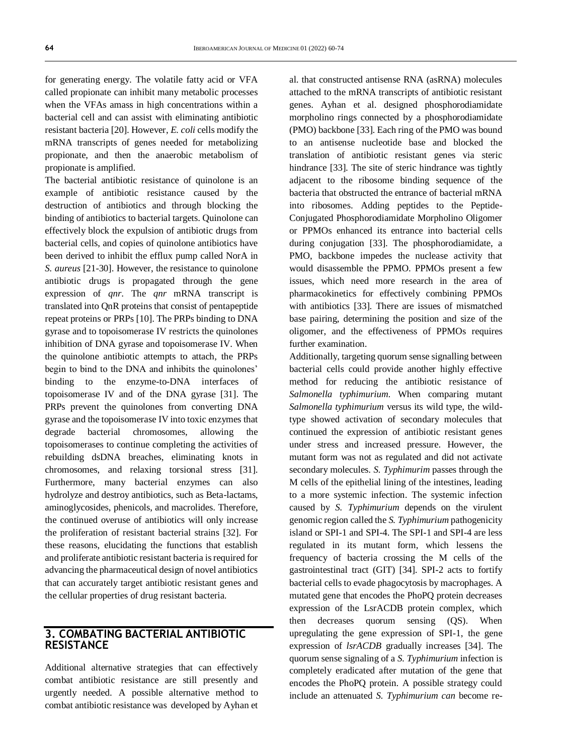for generating energy. The volatile fatty acid or VFA called propionate can inhibit many metabolic processes when the VFAs amass in high concentrations within a bacterial cell and can assist with eliminating antibiotic resistant bacteria [20]. However, *E. coli* cells modify the mRNA transcripts of genes needed for metabolizing propionate, and then the anaerobic metabolism of propionate is amplified.

The bacterial antibiotic resistance of quinolone is an example of antibiotic resistance caused by the destruction of antibiotics and through blocking the binding of antibiotics to bacterial targets. Quinolone can effectively block the expulsion of antibiotic drugs from bacterial cells, and copies of quinolone antibiotics have been derived to inhibit the efflux pump called NorA in *S. aureus* [21-30]. However, the resistance to quinolone antibiotic drugs is propagated through the gene expression of *qnr*. The *qnr* mRNA transcript is translated into QnR proteins that consist of pentapeptide repeat proteins or PRPs [10]. The PRPs binding to DNA gyrase and to topoisomerase IV restricts the quinolones inhibition of DNA gyrase and topoisomerase IV. When the quinolone antibiotic attempts to attach, the PRPs begin to bind to the DNA and inhibits the quinolones' binding to the enzyme-to-DNA interfaces of topoisomerase IV and of the DNA gyrase [31]. The PRPs prevent the quinolones from converting DNA gyrase and the topoisomerase IV into toxic enzymes that degrade bacterial chromosomes, allowing the topoisomerases to continue completing the activities of rebuilding dsDNA breaches, eliminating knots in chromosomes, and relaxing torsional stress [31]. Furthermore, many bacterial enzymes can also hydrolyze and destroy antibiotics, such as Beta-lactams, aminoglycosides, phenicols, and macrolides. Therefore, the continued overuse of antibiotics will only increase the proliferation of resistant bacterial strains [32]. For these reasons, elucidating the functions that establish and proliferate antibiotic resistant bacteria is required for advancing the pharmaceutical design of novel antibiotics that can accurately target antibiotic resistant genes and the cellular properties of drug resistant bacteria.

#### **3. COMBATING BACTERIAL ANTIBIOTIC RESISTANCE**

Additional alternative strategies that can effectively combat antibiotic resistance are still presently and urgently needed. A possible alternative method to combat antibiotic resistance was developed by Ayhan et al. that constructed antisense RNA (asRNA) molecules attached to the mRNA transcripts of antibiotic resistant genes. Ayhan et al. designed phosphorodiamidate morpholino rings connected by a phosphorodiamidate (PMO) backbone [33]. Each ring of the PMO was bound to an antisense nucleotide base and blocked the translation of antibiotic resistant genes via steric hindrance [33]. The site of steric hindrance was tightly adjacent to the ribosome binding sequence of the bacteria that obstructed the entrance of bacterial mRNA into ribosomes. Adding peptides to the Peptide-Conjugated Phosphorodiamidate Morpholino Oligomer or PPMOs enhanced its entrance into bacterial cells during conjugation [33]. The phosphorodiamidate, a PMO, backbone impedes the nuclease activity that would disassemble the PPMO. PPMOs present a few issues, which need more research in the area of pharmacokinetics for effectively combining PPMOs with antibiotics [33]. There are issues of mismatched base pairing, determining the position and size of the oligomer, and the effectiveness of PPMOs requires further examination.

Additionally, targeting quorum sense signalling between bacterial cells could provide another highly effective method for reducing the antibiotic resistance of *Salmonella typhimurium*. When comparing mutant *Salmonella typhimurium* versus its wild type, the wildtype showed activation of secondary molecules that continued the expression of antibiotic resistant genes under stress and increased pressure. However, the mutant form was not as regulated and did not activate secondary molecules. *S. Typhimurim* passes through the M cells of the epithelial lining of the intestines, leading to a more systemic infection. The systemic infection caused by *S. Typhimurium* depends on the virulent genomic region called the *S. Typhimurium* pathogenicity island or SPI-1 and SPI-4. The SPI-1 and SPI-4 are less regulated in its mutant form, which lessens the frequency of bacteria crossing the M cells of the gastrointestinal tract (GIT) [34]. SPI-2 acts to fortify bacterial cells to evade phagocytosis by macrophages. A mutated gene that encodes the PhoPQ protein decreases expression of the LsrACDB protein complex, which then decreases quorum sensing (QS). When upregulating the gene expression of SPI-1, the gene expression of *lsrACDB* gradually increases [34]. The quorum sense signaling of a *S. Typhimurium* infection is completely eradicated after mutation of the gene that encodes the PhoPQ protein. A possible strategy could include an attenuated *S. Typhimurium can* become re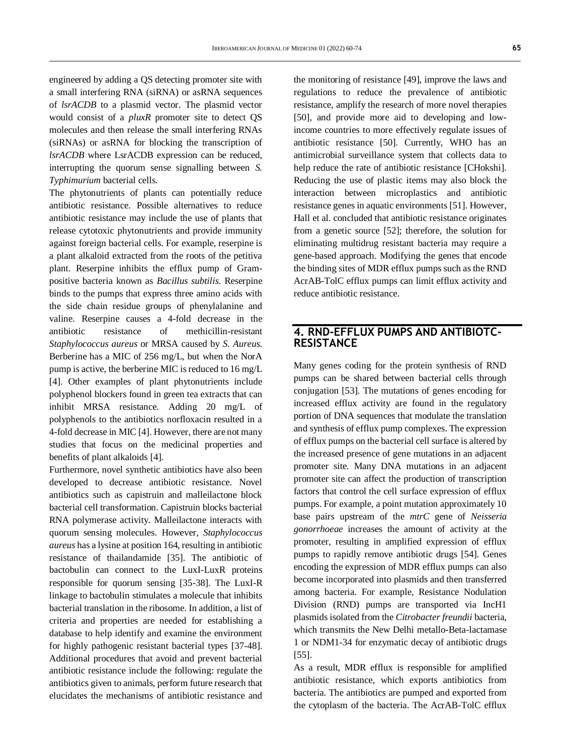engineered by adding a QS detecting promoter site with a small interfering RNA (siRNA) or asRNA sequences of *lsrACDB* to a plasmid vector. The plasmid vector would consist of a *pluxR* promoter site to detect QS molecules and then release the small interfering RNAs (siRNAs) or asRNA for blocking the transcription of *lsrACDB* where LsrACDB expression can be reduced, interrupting the quorum sense signalling between *S. Typhimurium* bacterial cells.

The phytonutrients of plants can potentially reduce antibiotic resistance. Possible alternatives to reduce antibiotic resistance may include the use of plants that release cytotoxic phytonutrients and provide immunity against foreign bacterial cells. For example, reserpine is a plant alkaloid extracted from the roots of the petitiva plant. Reserpine inhibits the efflux pump of Grampositive bacteria known as *Bacillus subtilis*. Reserpine binds to the pumps that express three amino acids with the side chain residue groups of phenylalanine and valine. Reserpine causes a 4-fold decrease in the antibiotic resistance of methicillin-resistant *Staphylococcus aureus* or MRSA caused by *S. Aureus*. Berberine has a MIC of 256 mg/L, but when the NorA pump is active, the berberine MIC is reduced to 16 mg/L [4]. Other examples of plant phytonutrients include polyphenol blockers found in green tea extracts that can inhibit MRSA resistance. Adding 20 mg/L of polyphenols to the antibiotics norfloxacin resulted in a 4-fold decrease in MIC [4]. However, there are not many studies that focus on the medicinal properties and benefits of plant alkaloids [4].

Furthermore, novel synthetic antibiotics have also been developed to decrease antibiotic resistance. Novel antibiotics such as capistruin and malleilactone block bacterial cell transformation. Capistruin blocks bacterial RNA polymerase activity. Malleilactone interacts with quorum sensing molecules. However, *Staphylococcus aureus* has a lysine at position 164, resulting in antibiotic resistance of thailandamide [35]. The antibiotic of bactobulin can connect to the LuxI-LuxR proteins responsible for quorum sensing [35-38]. The LuxI-R linkage to bactobulin stimulates a molecule that inhibits bacterial translation in the ribosome. In addition, a list of criteria and properties are needed for establishing a database to help identify and examine the environment for highly pathogenic resistant bacterial types [37-48]. Additional procedures that avoid and prevent bacterial antibiotic resistance include the following: regulate the antibiotics given to animals, perform future research that elucidates the mechanisms of antibiotic resistance and

the monitoring of resistance [49], improve the laws and regulations to reduce the prevalence of antibiotic resistance, amplify the research of more novel therapies [50], and provide more aid to developing and lowincome countries to more effectively regulate issues of antibiotic resistance [50]. Currently, WHO has an antimicrobial surveillance system that collects data to help reduce the rate of antibiotic resistance [CHokshi]. Reducing the use of plastic items may also block the interaction between microplastics and antibiotic resistance genes in aquatic environments [51]. However, Hall et al. concluded that antibiotic resistance originates from a genetic source [52]; therefore, the solution for eliminating multidrug resistant bacteria may require a gene-based approach. Modifying the genes that encode the binding sites of MDR efflux pumps such as the RND AcrAB-TolC efflux pumps can limit efflux activity and reduce antibiotic resistance.

#### **4. RND-EFFLUX PUMPS AND ANTIBIOTC-RESISTANCE**

Many genes coding for the protein synthesis of RND pumps can be shared between bacterial cells through conjugation [53]. The mutations of genes encoding for increased efflux activity are found in the regulatory portion of DNA sequences that modulate the translation and synthesis of efflux pump complexes. The expression of efflux pumps on the bacterial cell surface is altered by the increased presence of gene mutations in an adjacent promoter site. Many DNA mutations in an adjacent promoter site can affect the production of transcription factors that control the cell surface expression of efflux pumps. For example, a point mutation approximately 10 base pairs upstream of the *mtrC* gene of *Neisseria gonorrhoeae* increases the amount of activity at the promoter, resulting in amplified expression of efflux pumps to rapidly remove antibiotic drugs [54]. Genes encoding the expression of MDR efflux pumps can also become incorporated into plasmids and then transferred among bacteria. For example, Resistance Nodulation Division (RND) pumps are transported via IncH1 plasmids isolated from the *Citrobacter freundii* bacteria, which transmits the New Delhi metallo-Beta-lactamase 1 or NDM1-34 for enzymatic decay of antibiotic drugs [55].

As a result, MDR efflux is responsible for amplified antibiotic resistance, which exports antibiotics from bacteria. The antibiotics are pumped and exported from the cytoplasm of the bacteria. The AcrAB-TolC efflux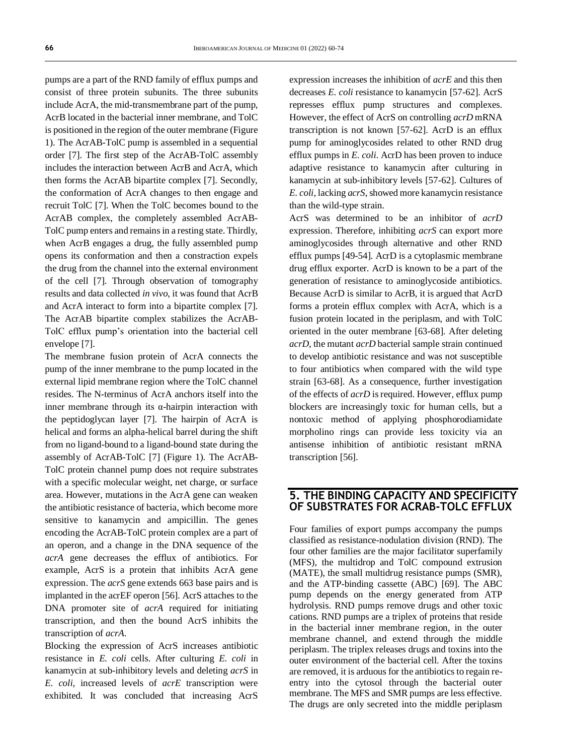pumps are a part of the RND family of efflux pumps and consist of three protein subunits. The three subunits include AcrA, the mid-transmembrane part of the pump, AcrB located in the bacterial inner membrane, and TolC is positioned in the region of the outer membrane (Figure 1). The AcrAB-TolC pump is assembled in a sequential order [7]. The first step of the AcrAB-TolC assembly includes the interaction between AcrB and AcrA, which then forms the AcrAB bipartite complex [7]. Secondly, the conformation of AcrA changes to then engage and recruit TolC [7]. When the TolC becomes bound to the AcrAB complex, the completely assembled AcrAB-TolC pump enters and remains in a resting state. Thirdly, when AcrB engages a drug, the fully assembled pump opens its conformation and then a constraction expels the drug from the channel into the external environment of the cell [7]. Through observation of tomography results and data collected *in vivo*, it was found that AcrB and AcrA interact to form into a bipartite complex [7]. The AcrAB bipartite complex stabilizes the AcrAB-TolC efflux pump's orientation into the bacterial cell envelope [7].

The membrane fusion protein of AcrA connects the pump of the inner membrane to the pump located in the external lipid membrane region where the TolC channel resides. The N-terminus of AcrA anchors itself into the inner membrane through its  $\alpha$ -hairpin interaction with the peptidoglycan layer [7]. The hairpin of AcrA is helical and forms an alpha-helical barrel during the shift from no ligand-bound to a ligand-bound state during the assembly of AcrAB-TolC [7] (Figure 1). The AcrAB-TolC protein channel pump does not require substrates with a specific molecular weight, net charge, or surface area. However, mutations in the AcrA gene can weaken the antibiotic resistance of bacteria, which become more sensitive to kanamycin and ampicillin. The genes encoding the AcrAB-TolC protein complex are a part of an operon, and a change in the DNA sequence of the *acrA* gene decreases the efflux of antibiotics. For example, AcrS is a protein that inhibits AcrA gene expression. The *acrS* gene extends 663 base pairs and is implanted in the acrEF operon [56]. AcrS attaches to the DNA promoter site of *acrA* required for initiating transcription, and then the bound AcrS inhibits the transcription of *acrA*.

Blocking the expression of AcrS increases antibiotic resistance in *E. coli* cells. After culturing *E. coli* in kanamycin at sub-inhibitory levels and deleting *acrS* in *E. coli*, increased levels of *acrE* transcription were exhibited. It was concluded that increasing AcrS expression increases the inhibition of *acrE* and this then decreases *E. coli* resistance to kanamycin [57-62]. AcrS represses efflux pump structures and complexes. However, the effect of AcrS on controlling *acrD* mRNA transcription is not known [57-62]. AcrD is an efflux pump for aminoglycosides related to other RND drug efflux pumps in *E. coli*. AcrD has been proven to induce adaptive resistance to kanamycin after culturing in kanamycin at sub-inhibitory levels [57-62]. Cultures of *E. coli*, lacking *acrS*, showed more kanamycin resistance than the wild-type strain.

AcrS was determined to be an inhibitor of *acrD* expression. Therefore, inhibiting *acrS* can export more aminoglycosides through alternative and other RND efflux pumps [49-54]. AcrD is a cytoplasmic membrane drug efflux exporter. AcrD is known to be a part of the generation of resistance to aminoglycoside antibiotics. Because AcrD is similar to AcrB, it is argued that AcrD forms a protein efflux complex with AcrA, which is a fusion protein located in the periplasm, and with TolC oriented in the outer membrane [63-68]. After deleting *acrD*, the mutant *acrD* bacterial sample strain continued to develop antibiotic resistance and was not susceptible to four antibiotics when compared with the wild type strain [63-68]. As a consequence, further investigation of the effects of *acrD* is required. However, efflux pump blockers are increasingly toxic for human cells, but a nontoxic method of applying phosphorodiamidate morpholino rings can provide less toxicity via an antisense inhibition of antibiotic resistant mRNA transcription [56].

#### **5. THE BINDING CAPACITY AND SPECIFICITY OF SUBSTRATES FOR ACRAB-TOLC EFFLUX**

Four families of export pumps accompany the pumps classified as resistance-nodulation division (RND). The four other families are the major facilitator superfamily (MFS), the multidrop and TolC compound extrusion (MATE), the small multidrug resistance pumps (SMR), and the ATP-binding cassette (ABC) [69]. The ABC pump depends on the energy generated from ATP hydrolysis. RND pumps remove drugs and other toxic cations. RND pumps are a triplex of proteins that reside in the bacterial inner membrane region, in the outer membrane channel, and extend through the middle periplasm. The triplex releases drugs and toxins into the outer environment of the bacterial cell. After the toxins are removed, it is arduous for the antibiotics to regain reentry into the cytosol through the bacterial outer membrane. The MFS and SMR pumps are less effective. The drugs are only secreted into the middle periplasm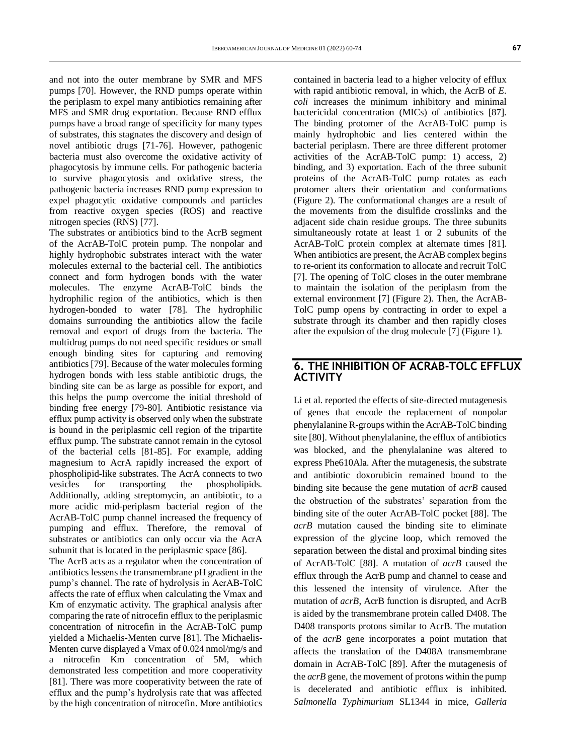and not into the outer membrane by SMR and MFS pumps [70]. However, the RND pumps operate within the periplasm to expel many antibiotics remaining after MFS and SMR drug exportation. Because RND efflux pumps have a broad range of specificity for many types of substrates, this stagnates the discovery and design of novel antibiotic drugs [71-76]. However, pathogenic bacteria must also overcome the oxidative activity of phagocytosis by immune cells. For pathogenic bacteria to survive phagocytosis and oxidative stress, the pathogenic bacteria increases RND pump expression to expel phagocytic oxidative compounds and particles from reactive oxygen species (ROS) and reactive nitrogen species (RNS) [77].

The substrates or antibiotics bind to the AcrB segment of the AcrAB-TolC protein pump. The nonpolar and highly hydrophobic substrates interact with the water molecules external to the bacterial cell. The antibiotics connect and form hydrogen bonds with the water molecules. The enzyme AcrAB-TolC binds the hydrophilic region of the antibiotics, which is then hydrogen-bonded to water [78]. The hydrophilic domains surrounding the antibiotics allow the facile removal and export of drugs from the bacteria. The multidrug pumps do not need specific residues or small enough binding sites for capturing and removing antibiotics [79]. Because of the water molecules forming hydrogen bonds with less stable antibiotic drugs, the binding site can be as large as possible for export, and this helps the pump overcome the initial threshold of binding free energy [79-80]. Antibiotic resistance via efflux pump activity is observed only when the substrate is bound in the periplasmic cell region of the tripartite efflux pump. The substrate cannot remain in the cytosol of the bacterial cells [81-85]. For example, adding magnesium to AcrA rapidly increased the export of phospholipid-like substrates. The AcrA connects to two vesicles for transporting the phospholipids. Additionally, adding streptomycin, an antibiotic, to a more acidic mid-periplasm bacterial region of the AcrAB-TolC pump channel increased the frequency of pumping and efflux. Therefore, the removal of substrates or antibiotics can only occur via the AcrA subunit that is located in the periplasmic space [86].

The AcrB acts as a regulator when the concentration of antibiotics lessens the transmembrane pH gradient in the pump's channel. The rate of hydrolysis in AcrAB-TolC affects the rate of efflux when calculating the Vmax and Km of enzymatic activity. The graphical analysis after comparing the rate of nitrocefin efflux to the periplasmic concentration of nitrocefin in the AcrAB-TolC pump yielded a Michaelis-Menten curve [81]. The Michaelis-Menten curve displayed a Vmax of 0.024 nmol/mg/s and a nitrocefin Km concentration of 5M, which demonstrated less competition and more cooperativity [81]. There was more cooperativity between the rate of efflux and the pump's hydrolysis rate that was affected by the high concentration of nitrocefin. More antibiotics

contained in bacteria lead to a higher velocity of efflux with rapid antibiotic removal, in which, the AcrB of *E. coli* increases the minimum inhibitory and minimal bactericidal concentration (MICs) of antibiotics [87]. The binding protomer of the AcrAB-TolC pump is mainly hydrophobic and lies centered within the bacterial periplasm. There are three different protomer activities of the AcrAB-TolC pump: 1) access, 2) binding, and 3) exportation. Each of the three subunit proteins of the AcrAB-TolC pump rotates as each protomer alters their orientation and conformations (Figure 2). The conformational changes are a result of the movements from the disulfide crosslinks and the adjacent side chain residue groups. The three subunits simultaneously rotate at least 1 or 2 subunits of the AcrAB-TolC protein complex at alternate times [81]. When antibiotics are present, the AcrAB complex begins to re-orient its conformation to allocate and recruit TolC [7]. The opening of TolC closes in the outer membrane to maintain the isolation of the periplasm from the external environment [7] (Figure 2). Then, the AcrAB-TolC pump opens by contracting in order to expel a substrate through its chamber and then rapidly closes after the expulsion of the drug molecule [7] (Figure 1).

#### **6. THE INHIBITION OF ACRAB-TOLC EFFLUX ACTIVITY**

Li et al. reported the effects of site-directed mutagenesis of genes that encode the replacement of nonpolar phenylalanine R-groups within the AcrAB-TolC binding site [80]. Without phenylalanine, the efflux of antibiotics was blocked, and the phenylalanine was altered to express Phe610Ala. After the mutagenesis, the substrate and antibiotic doxorubicin remained bound to the binding site because the gene mutation of *acrB* caused the obstruction of the substrates' separation from the binding site of the outer AcrAB-TolC pocket [88]. The *acrB* mutation caused the binding site to eliminate expression of the glycine loop, which removed the separation between the distal and proximal binding sites of AcrAB-TolC [88]. A mutation of *acrB* caused the efflux through the AcrB pump and channel to cease and this lessened the intensity of virulence. After the mutation of *acrB*, AcrB function is disrupted, and AcrB is aided by the transmembrane protein called D408. The D408 transports protons similar to AcrB. The mutation of the *acrB* gene incorporates a point mutation that affects the translation of the D408A transmembrane domain in AcrAB-TolC [89]. After the mutagenesis of the *acrB* gene, the movement of protons within the pump is decelerated and antibiotic efflux is inhibited. *Salmonella Typhimurium* SL1344 in mice, *Galleria*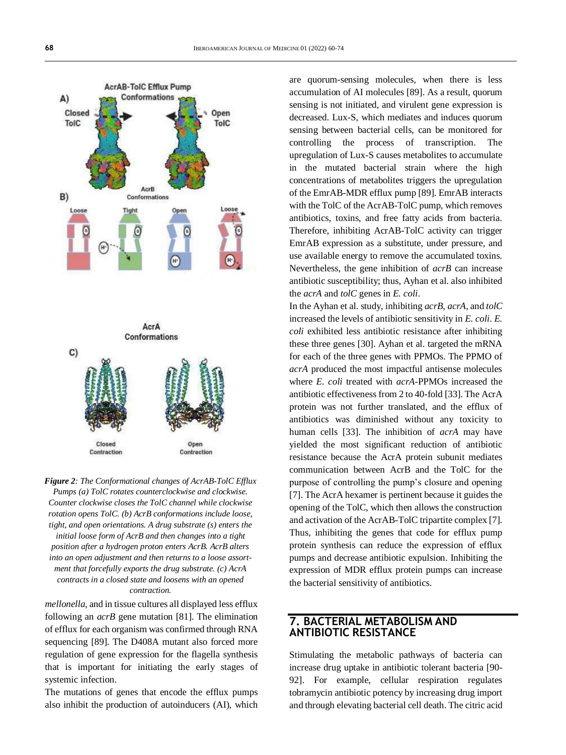

*Figure 2: The Conformational changes of AcrAB-TolC Efflux Pumps (a) TolC rotates counterclockwise and clockwise. Counter clockwise closes the TolC channel while clockwise rotation opens TolC. (b) AcrB conformations include loose, tight, and open orientations. A drug substrate (s) enters the initial loose form of AcrB and then changes into a tight position after a hydrogen proton enters AcrB. AcrB alters into an open adjustment and then returns to a loose assortment that forcefully exports the drug substrate. (c) AcrA contracts in a closed state and loosens with an opened contraction.*

*mellonella*, and in tissue cultures all displayed less efflux following an *acrB* gene mutation [81]. The elimination of efflux for each organism was confirmed through RNA sequencing [89]. The D408A mutant also forced more regulation of gene expression for the flagella synthesis that is important for initiating the early stages of systemic infection.

The mutations of genes that encode the efflux pumps also inhibit the production of autoinducers (AI), which are quorum-sensing molecules, when there is less accumulation of AI molecules [89]. As a result, quorum sensing is not initiated, and virulent gene expression is decreased. Lux-S, which mediates and induces quorum sensing between bacterial cells, can be monitored for controlling the process of transcription. The upregulation of Lux-S causes metabolites to accumulate in the mutated bacterial strain where the high concentrations of metabolites triggers the upregulation of the EmrAB-MDR efflux pump [89]. EmrAB interacts with the TolC of the AcrAB-TolC pump, which removes antibiotics, toxins, and free fatty acids from bacteria. Therefore, inhibiting AcrAB-TolC activity can trigger EmrAB expression as a substitute, under pressure, and use available energy to remove the accumulated toxins. Nevertheless, the gene inhibition of *acrB* can increase antibiotic susceptibility; thus, Ayhan et al. also inhibited the *acrA* and *tolC* genes in *E. coli*.

In the Ayhan et al. study, inhibiting *acrB*, *acrA*, and *tolC* increased the levels of antibiotic sensitivity in *E. coli*. *E. coli* exhibited less antibiotic resistance after inhibiting these three genes [30]. Ayhan et al. targeted the mRNA for each of the three genes with PPMOs. The PPMO of *acrA* produced the most impactful antisense molecules where *E. coli* treated with *acrA*-PPMOs increased the antibiotic effectiveness from 2 to 40-fold [33]. The AcrA protein was not further translated, and the efflux of antibiotics was diminished without any toxicity to human cells [33]. The inhibition of *acrA* may have yielded the most significant reduction of antibiotic resistance because the AcrA protein subunit mediates communication between AcrB and the TolC for the purpose of controlling the pump's closure and opening [7]. The AcrA hexamer is pertinent because it guides the opening of the TolC, which then allows the construction and activation of the AcrAB-TolC tripartite complex [7]. Thus, inhibiting the genes that code for efflux pump protein synthesis can reduce the expression of efflux pumps and decrease antibiotic expulsion. Inhibiting the expression of MDR efflux protein pumps can increase the bacterial sensitivity of antibiotics.

### **7. BACTERIAL METABOLISM AND ANTIBIOTIC RESISTANCE**

Stimulating the metabolic pathways of bacteria can increase drug uptake in antibiotic tolerant bacteria [90- 92]. For example, cellular respiration regulates tobramycin antibiotic potency by increasing drug import and through elevating bacterial cell death. The citric acid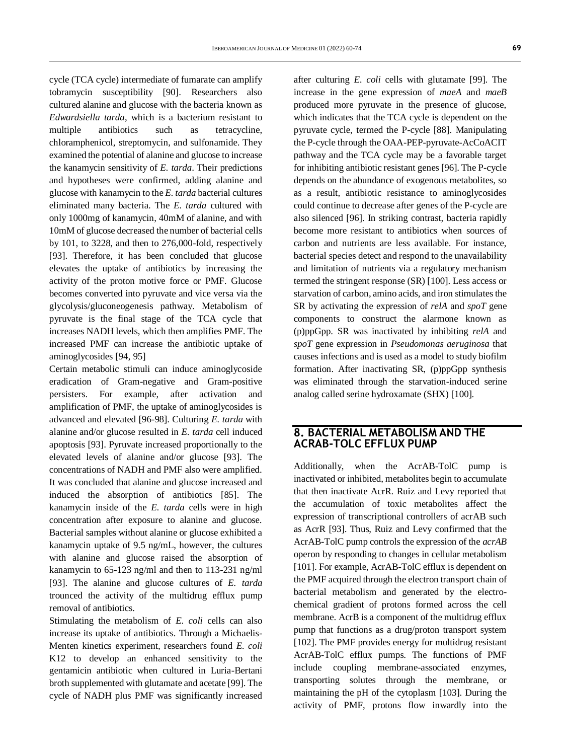cycle (TCA cycle) intermediate of fumarate can amplify tobramycin susceptibility [90]. Researchers also cultured alanine and glucose with the bacteria known as *Edwardsiella tarda*, which is a bacterium resistant to multiple antibiotics such as tetracycline, chloramphenicol, streptomycin, and sulfonamide. They examined the potential of alanine and glucose to increase the kanamycin sensitivity of *E. tarda*. Their predictions and hypotheses were confirmed, adding alanine and glucose with kanamycin to the *E. tarda* bacterial cultures eliminated many bacteria. The *E. tarda* cultured with only 1000mg of kanamycin, 40mM of alanine, and with 10mM of glucose decreased the number of bacterial cells by 101, to 3228, and then to 276,000-fold, respectively [93]. Therefore, it has been concluded that glucose elevates the uptake of antibiotics by increasing the activity of the proton motive force or PMF. Glucose becomes converted into pyruvate and vice versa via the glycolysis/gluconeogenesis pathway. Metabolism of pyruvate is the final stage of the TCA cycle that increases NADH levels, which then amplifies PMF. The increased PMF can increase the antibiotic uptake of aminoglycosides [94, 95]

Certain metabolic stimuli can induce aminoglycoside eradication of Gram-negative and Gram-positive persisters. For example, after activation and amplification of PMF, the uptake of aminoglycosides is advanced and elevated [96-98]. Culturing *E. tarda* with alanine and/or glucose resulted in *E. tarda* cell induced apoptosis [93]. Pyruvate increased proportionally to the elevated levels of alanine and/or glucose [93]. The concentrations of NADH and PMF also were amplified. It was concluded that alanine and glucose increased and induced the absorption of antibiotics [85]. The kanamycin inside of the *E. tarda* cells were in high concentration after exposure to alanine and glucose. Bacterial samples without alanine or glucose exhibited a kanamycin uptake of 9.5 ng/mL, however, the cultures with alanine and glucose raised the absorption of kanamycin to 65-123 ng/ml and then to 113-231 ng/ml [93]. The alanine and glucose cultures of *E. tarda* trounced the activity of the multidrug efflux pump removal of antibiotics.

Stimulating the metabolism of *E. coli* cells can also increase its uptake of antibiotics. Through a Michaelis-Menten kinetics experiment, researchers found *E. coli* K12 to develop an enhanced sensitivity to the gentamicin antibiotic when cultured in Luria-Bertani broth supplemented with glutamate and acetate [99]. The cycle of NADH plus PMF was significantly increased

after culturing *E. coli* cells with glutamate [99]. The increase in the gene expression of *maeA* and *maeB* produced more pyruvate in the presence of glucose, which indicates that the TCA cycle is dependent on the pyruvate cycle, termed the P-cycle [88]. Manipulating the P-cycle through the OAA-PEP-pyruvate-AcCoACIT pathway and the TCA cycle may be a favorable target for inhibiting antibiotic resistant genes [96]. The P-cycle depends on the abundance of exogenous metabolites, so as a result, antibiotic resistance to aminoglycosides could continue to decrease after genes of the P-cycle are also silenced [96]. In striking contrast, bacteria rapidly become more resistant to antibiotics when sources of carbon and nutrients are less available. For instance, bacterial species detect and respond to the unavailability and limitation of nutrients via a regulatory mechanism termed the stringent response (SR) [100]. Less access or starvation of carbon, amino acids, and iron stimulates the SR by activating the expression of *relA* and *spoT* gene components to construct the alarmone known as (p)ppGpp. SR was inactivated by inhibiting *relA* and *spoT* gene expression in *Pseudomonas aeruginosa* that causes infections and is used as a model to study biofilm formation. After inactivating SR, (p)ppGpp synthesis was eliminated through the starvation-induced serine analog called serine hydroxamate (SHX) [100].

#### **8. BACTERIAL METABOLISM AND THE ACRAB-TOLC EFFLUX PUMP**

Additionally, when the AcrAB-TolC pump is inactivated or inhibited, metabolites begin to accumulate that then inactivate AcrR. Ruiz and Levy reported that the accumulation of toxic metabolites affect the expression of transcriptional controllers of acrAB such as AcrR [93]. Thus, Ruiz and Levy confirmed that the AcrAB-TolC pump controls the expression of the *acrAB* operon by responding to changes in cellular metabolism [101]. For example, AcrAB-TolC efflux is dependent on the PMF acquired through the electron transport chain of bacterial metabolism and generated by the electrochemical gradient of protons formed across the cell membrane. AcrB is a component of the multidrug efflux pump that functions as a drug/proton transport system [102]. The PMF provides energy for multidrug resistant AcrAB-TolC efflux pumps. The functions of PMF include coupling membrane-associated enzymes, transporting solutes through the membrane, or maintaining the pH of the cytoplasm [103]. During the activity of PMF, protons flow inwardly into the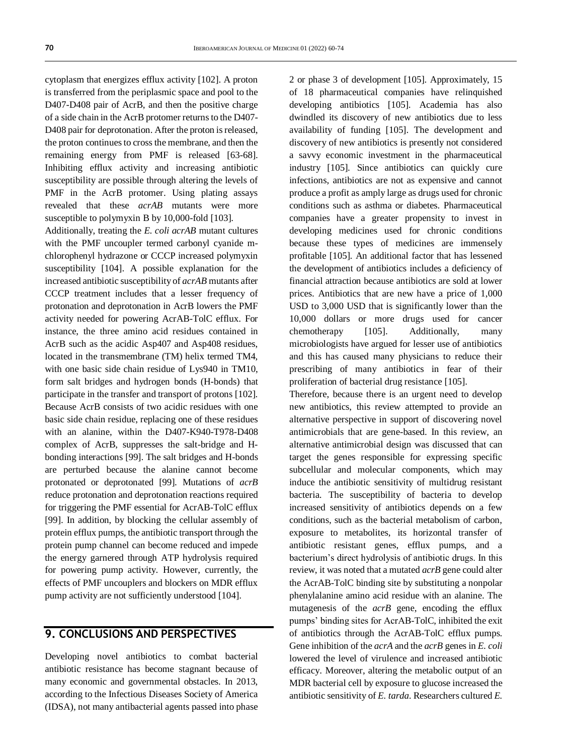cytoplasm that energizes efflux activity [102]. A proton is transferred from the periplasmic space and pool to the D407-D408 pair of AcrB, and then the positive charge of a side chain in the AcrB protomer returns to the D407- D408 pair for deprotonation. After the proton is released, the proton continues to cross the membrane, and then the remaining energy from PMF is released [63-68]. Inhibiting efflux activity and increasing antibiotic susceptibility are possible through altering the levels of PMF in the AcrB protomer. Using plating assays revealed that these *acrAB* mutants were more susceptible to polymyxin B by 10,000-fold [103]. Additionally, treating the *E. coli acrAB* mutant cultures with the PMF uncoupler termed carbonyl cyanide mchlorophenyl hydrazone or CCCP increased polymyxin susceptibility [104]. A possible explanation for the increased antibiotic susceptibility of *acrAB* mutants after CCCP treatment includes that a lesser frequency of protonation and deprotonation in AcrB lowers the PMF activity needed for powering AcrAB-TolC efflux. For

instance, the three amino acid residues contained in AcrB such as the acidic Asp407 and Asp408 residues, located in the transmembrane (TM) helix termed TM4, with one basic side chain residue of Lys940 in TM10, form salt bridges and hydrogen bonds (H-bonds) that participate in the transfer and transport of protons [102]. Because AcrB consists of two acidic residues with one basic side chain residue, replacing one of these residues with an alanine, within the D407-K940-T978-D408 complex of AcrB, suppresses the salt-bridge and Hbonding interactions [99]. The salt bridges and H-bonds are perturbed because the alanine cannot become protonated or deprotonated [99]. Mutations of *acrB* reduce protonation and deprotonation reactions required for triggering the PMF essential for AcrAB-TolC efflux [99]. In addition, by blocking the cellular assembly of protein efflux pumps, the antibiotic transport through the protein pump channel can become reduced and impede the energy garnered through ATP hydrolysis required for powering pump activity. However, currently, the effects of PMF uncouplers and blockers on MDR efflux pump activity are not sufficiently understood [104].

### **9. CONCLUSIONS AND PERSPECTIVES**

Developing novel antibiotics to combat bacterial antibiotic resistance has become stagnant because of many economic and governmental obstacles. In 2013, according to the Infectious Diseases Society of America (IDSA), not many antibacterial agents passed into phase

2 or phase 3 of development [105]. Approximately, 15 of 18 pharmaceutical companies have relinquished developing antibiotics [105]. Academia has also dwindled its discovery of new antibiotics due to less availability of funding [105]. The development and discovery of new antibiotics is presently not considered a savvy economic investment in the pharmaceutical industry [105]. Since antibiotics can quickly cure infections, antibiotics are not as expensive and cannot produce a profit as amply large as drugs used for chronic conditions such as asthma or diabetes. Pharmaceutical companies have a greater propensity to invest in developing medicines used for chronic conditions because these types of medicines are immensely profitable [105]. An additional factor that has lessened the development of antibiotics includes a deficiency of financial attraction because antibiotics are sold at lower prices. Antibiotics that are new have a price of 1,000 USD to 3,000 USD that is significantly lower than the 10,000 dollars or more drugs used for cancer chemotherapy [105]. Additionally, many microbiologists have argued for lesser use of antibiotics and this has caused many physicians to reduce their prescribing of many antibiotics in fear of their proliferation of bacterial drug resistance [105].

Therefore, because there is an urgent need to develop new antibiotics, this review attempted to provide an alternative perspective in support of discovering novel antimicrobials that are gene-based. In this review, an alternative antimicrobial design was discussed that can target the genes responsible for expressing specific subcellular and molecular components, which may induce the antibiotic sensitivity of multidrug resistant bacteria. The susceptibility of bacteria to develop increased sensitivity of antibiotics depends on a few conditions, such as the bacterial metabolism of carbon, exposure to metabolites, its horizontal transfer of antibiotic resistant genes, efflux pumps, and a bacterium's direct hydrolysis of antibiotic drugs. In this review, it was noted that a mutated *acrB* gene could alter the AcrAB-TolC binding site by substituting a nonpolar phenylalanine amino acid residue with an alanine. The mutagenesis of the *acrB* gene, encoding the efflux pumps' binding sites for AcrAB-TolC, inhibited the exit of antibiotics through the AcrAB-TolC efflux pumps. Gene inhibition of the *acrA* and the *acrB* genes in *E. coli* lowered the level of virulence and increased antibiotic efficacy. Moreover, altering the metabolic output of an MDR bacterial cell by exposure to glucose increased the antibiotic sensitivity of *E. tarda*. Researchers cultured *E.*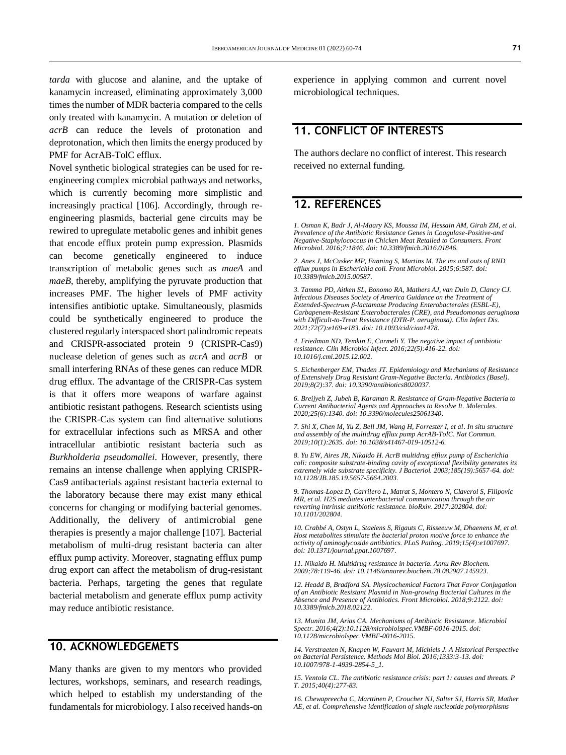*tarda* with glucose and alanine, and the uptake of kanamycin increased, eliminating approximately 3,000 times the number of MDR bacteria compared to the cells only treated with kanamycin. A mutation or deletion of *acrB* can reduce the levels of protonation and deprotonation, which then limits the energy produced by PMF for AcrAB-TolC efflux.

Novel synthetic biological strategies can be used for reengineering complex microbial pathways and networks, which is currently becoming more simplistic and increasingly practical [106]. Accordingly, through reengineering plasmids, bacterial gene circuits may be rewired to upregulate metabolic genes and inhibit genes that encode efflux protein pump expression. Plasmids can become genetically engineered to induce transcription of metabolic genes such as *maeA* and *maeB*, thereby, amplifying the pyruvate production that increases PMF. The higher levels of PMF activity intensifies antibiotic uptake. Simultaneously, plasmids could be synthetically engineered to produce the clustered regularly interspaced short palindromic repeats and CRISPR-associated protein 9 (CRISPR-Cas9) nuclease deletion of genes such as *acrA* and *acrB* or small interfering RNAs of these genes can reduce MDR drug efflux. The advantage of the CRISPR-Cas system is that it offers more weapons of warfare against antibiotic resistant pathogens. Research scientists using the CRISPR-Cas system can find alternative solutions for extracellular infections such as MRSA and other intracellular antibiotic resistant bacteria such as *Burkholderia pseudomallei*. However, presently, there remains an intense challenge when applying CRISPR-Cas9 antibacterials against resistant bacteria external to the laboratory because there may exist many ethical concerns for changing or modifying bacterial genomes. Additionally, the delivery of antimicrobial gene therapies is presently a major challenge [107]. Bacterial metabolism of multi-drug resistant bacteria can alter efflux pump activity. Moreover, stagnating efflux pump drug export can affect the metabolism of drug-resistant bacteria. Perhaps, targeting the genes that regulate bacterial metabolism and generate efflux pump activity may reduce antibiotic resistance.

#### **10. ACKNOWLEDGEMETS**

Many thanks are given to my mentors who provided lectures, workshops, seminars, and research readings, which helped to establish my understanding of the fundamentals for microbiology. I also received hands-on

experience in applying common and current novel microbiological techniques.

## **11. CONFLICT OF INTERESTS**

The authors declare no conflict of interest. This research received no external funding.

### **12. REFERENCES**

*1. Osman K, Badr J, Al-Maary KS, Moussa IM, Hessain AM, Girah ZM, et al. Prevalence of the Antibiotic Resistance Genes in Coagulase-Positive-and Negative-Staphylococcus in Chicken Meat Retailed to Consumers. Front Microbiol. 2016;7:1846. doi[: 10.3389/fmicb.2016.01846.](https://doi.org/10.3389/fmicb.2016.01846)*

*2. Anes J, McCusker MP, Fanning S, Martins M. The ins and outs of RND efflux pumps in Escherichia coli. Front Microbiol. 2015;6:587. doi: [10.3389/fmicb.2015.00587.](https://doi.org/10.3389/fmicb.2015.00587)*

*3. Tamma PD, Aitken SL, Bonomo RA, Mathers AJ, van Duin D, Clancy CJ. Infectious Diseases Society of America Guidance on the Treatment of Extended-Spectrum β-lactamase Producing Enterobacterales (ESBL-E), Carbapenem-Resistant Enterobacterales (CRE), and Pseudomonas aeruginosa with Difficult-to-Treat Resistance (DTR-P. aeruginosa). Clin Infect Dis. 2021;72(7):e169-e183. doi[: 10.1093/cid/ciaa1478.](https://doi.org/10.1093/cid/ciaa1478)*

*4. Friedman ND, Temkin E, Carmeli Y. The negative impact of antibiotic resistance. Clin Microbiol Infect. 2016;22(5):416-22. doi: [10.1016/j.cmi.2015.12.002.](https://doi.org/10.1016/j.cmi.2015.12.002)*

*5. Eichenberger EM, Thaden JT. Epidemiology and Mechanisms of Resistance of Extensively Drug Resistant Gram-Negative Bacteria. Antibiotics (Basel). 2019;8(2):37. doi[: 10.3390/antibiotics8020037.](https://doi.org/10.3390/antibiotics8020037)*

*6. Breijyeh Z, Jubeh B, Karaman R. Resistance of Gram-Negative Bacteria to Current Antibacterial Agents and Approaches to Resolve It. Molecules. 2020;25(6):1340. doi[: 10.3390/molecules25061340.](https://doi.org/10.3390/molecules25061340)*

*7. Shi X, Chen M, Yu Z, Bell JM, Wang H, Forrester I, et al. In situ structure and assembly of the multidrug efflux pump AcrAB-TolC. Nat Commun. 2019;10(1):2635. doi[: 10.1038/s41467-019-10512-6.](https://doi.org/10.1038/s41467-019-10512-6)*

*8. Yu EW, Aires JR, Nikaido H. AcrB multidrug efflux pump of Escherichia coli: composite substrate-binding cavity of exceptional flexibility generates its extremely wide substrate specificity. J Bacteriol. 2003;185(19):5657-64. doi: [10.1128/JB.185.19.5657-5664.2003.](https://doi.org/10.1128/jb.185.19.5657-5664.2003)*

*9. Thomas-Lopez D, Carrilero L, Matrat S, Montero N, Claverol S, Filipovic MR, et al. H2S mediates interbacterial communication through the air reverting intrinsic antibiotic resistance. bioRxiv. 2017:202804. doi: [10.1101/202804.](https://doi.org/10.1101/202804)*

*10. Crabbé A, Ostyn L, Staelens S, Rigauts C, Risseeuw M, Dhaenens M, et al. Host metabolites stimulate the bacterial proton motive force to enhance the activity of aminoglycoside antibiotics. PLoS Pathog. 2019;15(4):e1007697. doi[: 10.1371/journal.ppat.1007697.](https://doi.org/10.1371/journal.ppat.1007697)*

*11. Nikaido H. Multidrug resistance in bacteria. Annu Rev Biochem. 2009;78:119-46. doi[: 10.1146/annurev.biochem.78.082907.145923.](https://doi.org/10.1146/annurev.biochem.78.082907.145923)*

*12. Headd B, Bradford SA. Physicochemical Factors That Favor Conjugation of an Antibiotic Resistant Plasmid in Non-growing Bacterial Cultures in the Absence and Presence of Antibiotics. Front Microbiol. 2018;9:2122. doi: [10.3389/fmicb.2018.02122.](https://doi.org/10.3389/fmicb.2018.02122)*

*13. Munita JM, Arias CA. Mechanisms of Antibiotic Resistance. Microbiol Spectr. 2016;4(2):10.1128/microbiolspec.VMBF-0016-2015. doi: [10.1128/microbiolspec.VMBF-0016-2015.](https://doi.org/10.1128/microbiolspec.vmbf-0016-2015)*

*14. Verstraeten N, Knapen W, Fauvart M, Michiels J. A Historical Perspective on Bacterial Persistence. Methods Mol Biol. 2016;1333:3-13. doi: [10.1007/978-1-4939-2854-5\\_1.](https://doi.org/10.1007/978-1-4939-2854-5_1)*

*15. Ventola CL. The antibiotic resistance crisis: part 1: causes and threats. P T. 2015;40(4):277-83.*

*16. Chewapreecha C, Marttinen P, Croucher NJ, Salter SJ, Harris SR, Mather AE, et al. Comprehensive identification of single nucleotide polymorphisms*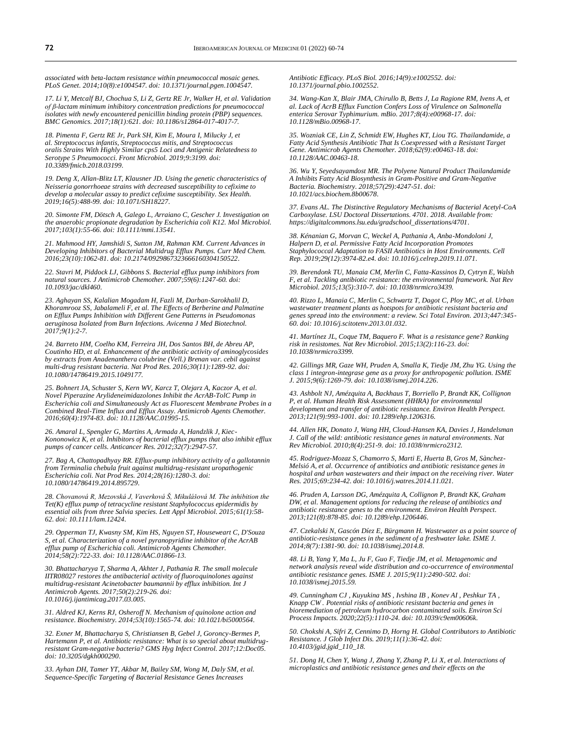*associated with beta-lactam resistance within pneumococcal mosaic genes. PLoS Genet. 2014;10(8):e1004547. doi[: 10.1371/journal.pgen.1004547.](https://doi.org/10.1371/journal.pgen.1004547)*

*17. Li Y, Metcalf BJ, Chochua S, Li Z, Gertz RE Jr, Walker H, et al. Validation*  of β-lactam minimum inhibitory concentration predictions for pneumococcal<br>isolates with newly encountered penicillin binding protein (PBP) sequences. *BMC Genomics. 2017;18(1):621. doi[: 10.1186/s12864-017-4017-7.](https://doi.org/10.1186/s12864-017-4017-7)*

*18. Pimenta F, Gertz RE Jr, Park SH, Kim E, Moura I, Milucky J, et al. Streptococcus infantis, Streptococcus mitis, and Streptococcus oralis Strains With Highly Similar cps5 Loci and Antigenic Relatedness to Serotype 5 Pneumococci. Front Microbiol. 2019;9:3199. doi: [10.3389/fmicb.2018.03199.](https://doi.org/10.3389/fmicb.2018.03199)*

*19. Deng X, Allan-Blitz LT, Klausner JD. Using the genetic characteristics of Neisseria gonorrhoeae strains with decreased susceptibility to cefixime to develop a molecular assay to predict cefixime susceptibility. Sex Health. 2019;16(5):488-99. doi[: 10.1071/SH18227.](https://doi.org/10.1071/sh18227)*

*20. Simonte FM, Dötsch A, Galego L, Arraiano C, Gescher J. Investigation on the anaerobic propionate degradation by Escherichia coli K12. Mol Microbiol. 2017;103(1):55-66. doi[: 10.1111/mmi.13541.](https://doi.org/10.1111/mmi.13541)*

*21. Mahmood HY, Jamshidi S, Sutton JM, Rahman KM. Current Advances in Developing Inhibitors of Bacterial Multidrug Efflux Pumps. Curr Med Chem. 2016;23(10):1062-81. doi[: 10.2174/0929867323666160304150522.](https://doi.org/10.2174/0929867323666160304150522)*

*22. Stavri M, Piddock LJ, Gibbons S. Bacterial efflux pump inhibitors from natural sources. J Antimicrob Chemother. 2007;59(6):1247-60. doi: [10.1093/jac/dkl460.](https://doi.org/10.1093/jac/dkl460)*

*23. Aghayan SS, Kalalian Mogadam H, Fazli M, Darban-Sarokhalil D, Khoramrooz SS, Jabalameli F, et al. The Effects of Berberine and Palmatine on Efflux Pumps Inhibition with Different Gene Patterns in Pseudomonas aeruginosa Isolated from Burn Infections. Avicenna J Med Biotechnol. 2017;9(1):2-7.*

*24. Barreto HM, Coelho KM, Ferreira JH, Dos Santos BH, de Abreu AP, Coutinho HD, et al. Enhancement of the antibiotic activity of aminoglycosides by extracts from Anadenanthera colubrine (Vell.) Brenan var. cebil against multi-drug resistant bacteria. Nat Prod Res. 2016;30(11):1289-92. doi: [10.1080/14786419.2015.1049177.](https://doi.org/10.1080/14786419.2015.1049177)*

*25. Bohnert JA, Schuster S, Kern WV, Karcz T, Olejarz A, Kaczor A, et al. Novel Piperazine Arylideneimidazolones Inhibit the AcrAB-TolC Pump in Escherichia coli and Simultaneously Act as Fluorescent Membrane Probes in a Combined Real-Time Influx and Efflux Assay. Antimicrob Agents Chemother. 2016;60(4):1974-83. doi[: 10.1128/AAC.01995-15.](https://doi.org/10.1128/aac.01995-15)*

*26. Amaral L, Spengler G, Martins A, Armada A, Handzlik J, Kiec-Kononowicz K, et al. Inhibitors of bacterial efflux pumps that also inhibit efflux pumps of cancer cells. Anticancer Res. 2012;32(7):2947-57.*

*27. Bag A, Chattopadhyay RR. Efflux-pump inhibitory activity of a gallotannin from Terminalia chebula fruit against multidrug-resistant uropathogenic Escherichia coli. Nat Prod Res. 2014;28(16):1280-3. doi: [10.1080/14786419.2014.895729.](https://doi.org/10.1080/14786419.2014.895729)*

*28. Chovanová R, Mezovská J, Vaverková Š, Mikulášová M. The inhibition the Tet(K) efflux pump of tetracycline resistant Staphylococcus epidermidis by essential oils from three Salvia species. Lett Appl Microbiol. 2015;61(1):58- 62. doi[: 10.1111/lam.12424.](https://doi.org/10.1111/lam.12424)*

*29. Opperman TJ, Kwasny SM, Kim HS, Nguyen ST, Houseweart C, D'Souza S, et al. Characterization of a novel pyranopyridine inhibitor of the AcrAB efflux pump of Escherichia coli. Antimicrob Agents Chemother. 2014;58(2):722-33. doi[: 10.1128/AAC.01866-13.](https://doi.org/10.1128/aac.01866-13)*

*30. Bhattacharyya T, Sharma A, Akhter J, Pathania R. The small molecule IITR08027 restores the antibacterial activity of fluoroquinolones against multidrug-resistant Acinetobacter baumannii by efflux inhibition. Int J Antimicrob Agents. 2017;50(2):219-26. doi: [10.1016/j.ijantimicag.2017.03.005.](https://doi.org/10.1016/j.ijantimicag.2017.03.005)*

*31. Aldred KJ, Kerns RJ, Osheroff N. Mechanism of quinolone action and resistance. Biochemistry. 2014;53(10):1565-74. doi[: 10.1021/bi5000564.](https://doi.org/10.1021/bi5000564)*

*32. Exner M, Bhattacharya S, Christiansen B, Gebel J, Goroncy-Bermes P, Hartemann P, et al. Antibiotic resistance: What is so special about multidrugresistant Gram-negative bacteria? GMS Hyg Infect Control. 2017;12:Doc05. doi[: 10.3205/dgkh000290.](https://doi.org/10.3205/dgkh000290)*

*33. Ayhan DH, Tamer YT, Akbar M, Bailey SM, Wong M, Daly SM, et al. Sequence-Specific Targeting of Bacterial Resistance Genes Increases* 

*Antibiotic Efficacy. PLoS Biol. 2016;14(9):e1002552. doi: [10.1371/journal.pbio.1002552.](https://doi.org/10.1371/journal.pbio.1002552)*

*34. Wang-Kan X, Blair JMA, Chirullo B, Betts J, La Ragione RM, Ivens A, et al. Lack of AcrB Efflux Function Confers Loss of Virulence on Salmonella enterica Serovar Typhimurium. mBio. 2017;8(4):e00968-17. doi: [10.1128/mBio.00968-17.](https://doi.org/10.1128/mbio.00968-17)*

*35. Wozniak CE, Lin Z, Schmidt EW, Hughes KT, Liou TG. Thailandamide, a Fatty Acid Synthesis Antibiotic That Is Coexpressed with a Resistant Target Gene. Antimicrob Agents Chemother. 2018;62(9):e00463-18. doi: [10.1128/AAC.00463-18.](https://doi.org/10.1128/aac.00463-18)*

*36. Wu Y, Seyedsayamdost MR. The Polyene Natural Product Thailandamide A Inhibits Fatty Acid Biosynthesis in Gram-Positive and Gram-Negative Bacteria. Biochemistry. 2018;57(29):4247-51. doi: [10.1021/acs.biochem.8b00678.](https://doi.org/10.1021/acs.biochem.8b00678)*

*37. Evans AL. The Distinctive Regulatory Mechanisms of Bacterial Acetyl-CoA Carboxylase. LSU Doctoral Dissertations. 4701. 2018. Available from: [https://digitalcommons.lsu.edu/gradschool\\_dissertations/4701.](https://digitalcommons.lsu.edu/gradschool_dissertations/4701)*

*38. Kénanian G, Morvan C, Weckel A, Pathania A, Anba-Mondoloni J, Halpern D, et al. Permissive Fatty Acid Incorporation Promotes Staphylococcal Adaptation to FASII Antibiotics in Host Environments. Cell Rep. 2019;29(12):3974-82.e4. doi[: 10.1016/j.celrep.2019.11.071.](https://doi.org/10.1016/j.celrep.2019.11.071)*

*39. Berendonk TU, Manaia CM, Merlin C, Fatta-Kassinos D, Cytryn E, Walsh F, et al. Tackling antibiotic resistance: the environmental framework. Nat Rev Microbiol. 2015;13(5):310-7. doi[: 10.1038/nrmicro3439.](https://doi.org/10.1038/nrmicro3439)*

*40. Rizzo L, Manaia C, Merlin C, Schwartz T, Dagot C, Ploy MC, et al. Urban wastewater treatment plants as hotspots for antibiotic resistant bacteria and genes spread into the environment: a review. Sci Total Environ. 2013;447:345- 60. doi[: 10.1016/j.scitotenv.2013.01.032.](https://doi.org/10.1016/j.scitotenv.2013.01.032)*

*41. Martínez JL, Coque TM, Baquero F. What is a resistance gene? Ranking risk in resistomes. Nat Rev Microbiol. 2015;13(2):116-23. doi: [10.1038/nrmicro3399.](https://doi.org/10.1038/nrmicro3399)*

*42. Gillings MR, Gaze WH, Pruden A, Smalla K, Tiedje JM, Zhu YG. Using the class 1 integron-integrase gene as a proxy for anthropogenic pollution. ISME J. 2015;9(6):1269-79. doi[: 10.1038/ismej.2014.226.](https://doi.org/10.1038/ismej.2014.226)*

*43. Ashbolt NJ, Amézquita A, Backhaus T, Borriello P, Brandt KK, Collignon P, et al. Human Health Risk Assessment (HHRA) for environmental development and transfer of antibiotic resistance. Environ Health Perspect. 2013;121(9):993-1001. doi[: 10.1289/ehp.1206316.](https://doi.org/10.1289/ehp.1206316)*

*44. Allen HK, Donato J, Wang HH, Cloud-Hansen KA, Davies J, Handelsman J. Call of the wild: antibiotic resistance genes in natural environments. Nat Rev Microbiol. 2010;8(4):251-9. doi[: 10.1038/nrmicro2312.](https://doi.org/10.1038/nrmicro2312)*

*45. Rodriguez-Mozaz S, Chamorro S, Marti E, Huerta B, Gros M, Sànchez-Melsió A, et al. Occurrence of antibiotics and antibiotic resistance genes in hospital and urban wastewaters and their impact on the receiving river. Water Res. 2015;69:234-42. doi[: 10.1016/j.watres.2014.11.021.](https://doi.org/10.1016/j.watres.2014.11.021)*

*46. Pruden A, Larsson DG, Amézquita A, Collignon P, Brandt KK, Graham DW, et al. Management options for reducing the release of antibiotics and antibiotic resistance genes to the environment. Environ Health Perspect. 2013;121(8):878-85. doi[: 10.1289/ehp.1206446.](https://doi.org/10.1289/ehp.1206446)*

*47. Czekalski N, Gascón Díez E, Bürgmann H. Wastewater as a point source of antibiotic-resistance genes in the sediment of a freshwater lake. ISME J. 2014;8(7):1381-90. doi[: 10.1038/ismej.2014.8.](https://doi.org/10.1038/ismej.2014.8)*

*48. Li B, Yang Y, Ma L, Ju F, Guo F, Tiedje JM, et al. Metagenomic and network analysis reveal wide distribution and co-occurrence of environmental antibiotic resistance genes. ISME J. 2015;9(11):2490-502. doi: [10.1038/ismej.2015.59.](https://doi.org/10.1038/ismej.2015.59)*

*49. Cunningham CJ , Kuyukina MS , Ivshina IB , Konev AI , Peshkur TA , Knapp CW . Potential risks of antibiotic resistant bacteria and genes in bioremediation of petroleum hydrocarbon contaminated soils. Environ Sci Process Impacts. 2020;22(5):1110-24. doi[: 10.1039/c9em00606k.](https://doi.org/10.1039/c9em00606k)*

*50. Chokshi A, Sifri Z, Cennimo D, Horng H. Global Contributors to Antibiotic Resistance. J Glob Infect Dis. 2019;11(1):36-42. doi: [10.4103/jgid.jgid\\_110\\_18.](https://doi.org/10.4103/jgid.jgid_110_18)*

*51. Dong H, Chen Y, Wang J, Zhang Y, Zhang P, Li X, et al. Interactions of*  microplastics and antibiotic resistance genes and their effects on the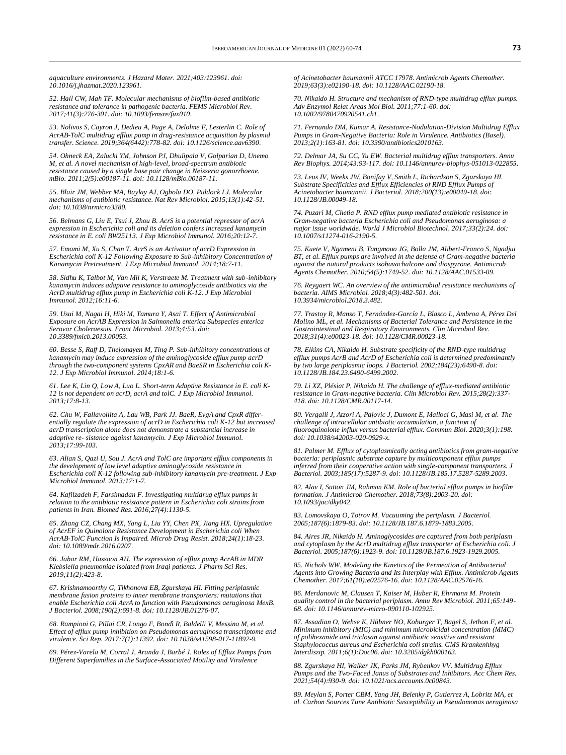*aquaculture environments. J Hazard Mater. 2021;403:123961. doi: [10.1016/j.jhazmat.2020.123961.](https://doi.org/10.1016/j.jhazmat.2020.123961)*

*52. Hall CW, Mah TF. Molecular mechanisms of biofilm-based antibiotic resistance and tolerance in pathogenic bacteria. FEMS Microbiol Rev. 2017;41(3):276-301. doi[: 10.1093/femsre/fux010.](https://doi.org/10.1093/femsre/fux010)*

*53. Nolivos S, Cayron J, Dedieu A, Page A, Delolme F, Lesterlin C. Role of AcrAB-TolC multidrug efflux pump in drug-resistance acquisition by plasmid transfer. Science. 2019;364(6442):778-82. doi[: 10.1126/science.aav6390.](https://doi.org/10.1126/science.aav6390)*

*54. Ohneck EA, Zalucki YM, Johnson PJ, Dhulipala V, Golparian D, Unemo M, et al. A novel mechanism of high-level, broad-spectrum antibiotic resistance caused by a single base pair change in Neisseria gonorrhoeae. mBio. 2011;2(5):e00187-11. doi[: 10.1128/mBio.00187-11.](https://doi.org/10.1128/mbio.00187-11)*

*55. Blair JM, Webber MA, Baylay AJ, Ogbolu DO, Piddock LJ. Molecular mechanisms of antibiotic resistance. Nat Rev Microbiol. 2015;13(1):42-51. doi[: 10.1038/nrmicro3380.](https://doi.org/10.1038/nrmicro3380)*

*56. Belmans G, Liu E, Tsui J, Zhou B. AcrS is a potential repressor of acrA expression in Escherichia coli and its deletion confers increased kanamycin resistance in E. coli BW25113. J Exp Microbiol Immunol. 2016;20:12-7.*

*57. Emami M, Xu S, Chan T. AcrS is an Activator of acrD Expression in Escherichia coli K-12 Following Exposure to Sub-inhibitory Concentration of Kanamycin Pretreatment. J Exp Microbiol Immunol. 2014;18:7-11.*

*58. Sidhu K, Talbot M, Van Mil K, Verstraete M. Treatment with sub-inhibitory kanamycin induces adaptive resistance to aminoglycoside antibiotics via the AcrD multidrug efflux pump in Escherichia coli K-12. J Exp Microbiol Immunol. 2012;16:11-6.*

*59. Usui M, Nagai H, Hiki M, Tamura Y, Asai T. Effect of Antimicrobial Exposure on AcrAB Expression in Salmonella enterica Subspecies enterica Serovar Choleraesuis. Front Microbiol. 2013;4:53. doi: [10.3389/fmicb.2013.00053.](https://doi.org/10.3389/fmicb.2013.00053)*

*60. Besse S, Raff D, Thejomayen M, Ting P. Sub-inhibitory concentrations of kanamycin may induce expression of the aminoglycoside efflux pump acrD through the two-component systems CpxAR and BaeSR in Escherichia coli K-12. J Exp Microbiol Immunol. 2014;18:1-6.*

*61. Lee K, Lin Q, Low A, Luo L. Short-term Adaptive Resistance in E. coli K-12 is not dependent on acrD, acrA and tolC. J Exp Microbiol Immunol. 2013;17:8-13.*

*62. Chu W, Fallavollita A, Lau WB, Park JJ. BaeR, EvgA and CpxR differentially regulate the expression of acrD in Escherichia coli K-12 but increased acrD transcription alone does not demonstrate a substantial increase in adaptive re- sistance against kanamycin. J Exp Microbiol Immunol. 2013;17:99-103.*

*63. Alian S, Qazi U, Sou J. AcrA and TolC are important efflux components in the development of low level adaptive aminoglycoside resistance in Escherichia coli K-12 following sub-inhibitory kanamycin pre-treatment. J Exp Microbiol Immunol. 2013;17:1-7.*

*64. Kafilzadeh F, Farsimadan F. Investigating multidrug efflux pumps in relation to the antibiotic resistance pattern in Escherichia coli strains from patients in Iran. Biomed Res. 2016;27(4):1130-5.*

*65. Zhang CZ, Chang MX, Yang L, Liu YY, Chen PX, Jiang HX. Upregulation of AcrEF in Quinolone Resistance Development in Escherichia coli When AcrAB-TolC Function Is Impaired. Microb Drug Resist. 2018;24(1):18-23. doi[: 10.1089/mdr.2016.0207.](https://doi.org/10.1089/mdr.2016.0207)*

*66. Jabar RM, Hassoon AH. The expression of efflux pump AcrAB in MDR Klebsiella pneumoniae isolated from Iraqi patients. J Pharm Sci Res. 2019;11(2):423-8.*

*67. Krishnamoorthy G, Tikhonova EB, Zgurskaya HI. Fitting periplasmic membrane fusion proteins to inner membrane transporters: mutations that enable Escherichia coli AcrA to function with Pseudomonas aeruginosa MexB. J Bacteriol. 2008;190(2):691-8. doi[: 10.1128/JB.01276-07.](https://doi.org/10.1128/jb.01276-07)*

*68. Rampioni G, Pillai CR, Longo F, Bondì R, Baldelli V, Messina M, et al. Effect of efflux pump inhibition on Pseudomonas aeruginosa transcriptome and virulence. Sci Rep. 2017;7(1):11392. doi[: 10.1038/s41598-017-11892-9.](https://doi.org/10.1038/s41598-017-11892-9)*

*69. Pérez-Varela M, Corral J, Aranda J, Barbé J. Roles of Efflux Pumps from Different Superfamilies in the Surface-Associated Motility and Virulence* 

*of Acinetobacter baumannii ATCC 17978. Antimicrob Agents Chemother. 2019;63(3):e02190-18. doi[: 10.1128/AAC.02190-18.](https://doi.org/10.1128/aac.02190-18)*

*70. Nikaido H. Structure and mechanism of RND-type multidrug efflux pumps. Adv Enzymol Relat Areas Mol Biol. 2011;77:1-60. doi: [10.1002/9780470920541.ch1.](https://doi.org/10.1002/9780470920541.ch1)*

*71. Fernando DM, Kumar A. Resistance-Nodulation-Division Multidrug Efflux Pumps in Gram-Negative Bacteria: Role in Virulence. Antibiotics (Basel). 2013;2(1):163-81. doi[: 10.3390/antibiotics2010163.](https://doi.org/10.3390/antibiotics2010163)*

*72. Delmar JA, Su CC, Yu EW. Bacterial multidrug efflux transporters. Annu Rev Biophys. 2014;43:93-117. doi[: 10.1146/annurev-biophys-051013-022855.](https://doi.org/10.1146/annurev-biophys-051013-022855)*

*73. Leus IV, Weeks JW, Bonifay V, Smith L, Richardson S, Zgurskaya HI. Substrate Specificities and Efflux Efficiencies of RND Efflux Pumps of Acinetobacter baumannii. J Bacteriol. 2018;200(13):e00049-18. doi: [10.1128/JB.00049-18.](https://doi.org/10.1128/jb.00049-18)*

*74. Puzari M, Chetia P. RND efflux pump mediated antibiotic resistance in Gram-negative bacteria Escherichia coli and Pseudomonas aeruginosa: a major issue worldwide. World J Microbiol Biotechnol. 2017;33(2):24. doi: [10.1007/s11274-016-2190-5.](https://doi.org/10.1007/s11274-016-2190-5)*

*75. Kuete V, Ngameni B, Tangmouo JG, Bolla JM, Alibert-Franco S, Ngadjui BT, et al. Efflux pumps are involved in the defense of Gram-negative bacteria against the natural products isobavachalcone and diospyrone. Antimicrob Agents Chemother. 2010;54(5):1749-52. doi[: 10.1128/AAC.01533-09.](https://doi.org/10.1128/aac.01533-09)*

*76. Reygaert WC. An overview of the antimicrobial resistance mechanisms of bacteria. AIMS Microbiol. 2018;4(3):482-501. doi: [10.3934/microbiol.2018.3.482.](https://doi.org/10.3934/microbiol.2018.3.482)*

*77. Trastoy R, Manso T, Fernández-García L, Blasco L, Ambroa A, Pérez Del Molino ML, et al. Mechanisms of Bacterial Tolerance and Persistence in the Gastrointestinal and Respiratory Environments. Clin Microbiol Rev. 2018;31(4):e00023-18. doi[: 10.1128/CMR.00023-18.](https://doi.org/10.1128/cmr.00023-18)*

*78. Elkins CA, Nikaido H. Substrate specificity of the RND-type multidrug efflux pumps AcrB and AcrD of Escherichia coli is determined predominantly by two large periplasmic loops. J Bacteriol. 2002;184(23):6490-8. doi: [10.1128/JB.184.23.6490-6499.2002.](https://doi.org/10.1128/jb.184.23.6490-6499.2002)*

*79. Li XZ, Plésiat P, Nikaido H. The challenge of efflux-mediated antibiotic resistance in Gram-negative bacteria. Clin Microbiol Rev. 2015;28(2):337- 418. doi[: 10.1128/CMR.00117-14.](https://doi.org/10.1128/cmr.00117-14)*

*80. Vergalli J, Atzori A, Pajovic J, Dumont E, Malloci G, Masi M, et al. The challenge of intracellular antibiotic accumulation, a function of fluoroquinolone influx versus bacterial efflux. Commun Biol. 2020;3(1):198. doi[: 10.1038/s42003-020-0929-x.](https://doi.org/10.1038/s42003-020-0929-x)*

*81. Palmer M. Efflux of cytoplasmically acting antibiotics from gram-negative bacteria: periplasmic substrate capture by multicomponent efflux pumps inferred from their cooperative action with single-component transporters. J Bacteriol. 2003;185(17):5287-9. doi[: 10.1128/JB.185.17.5287-5289.2003.](https://doi.org/10.1128/jb.185.17.5287-5289.2003)*

*82. Alav I, Sutton JM, Rahman KM. Role of bacterial efflux pumps in biofilm formation. J Antimicrob Chemother. 2018;73(8):2003-20. doi: [10.1093/jac/dky042.](https://doi.org/10.1093/jac/dky042)*

*83. Lomovskaya O, Totrov M. Vacuuming the periplasm. J Bacteriol. 2005;187(6):1879-83. doi[: 10.1128/JB.187.6.1879-1883.2005.](https://doi.org/10.1128/jb.187.6.1879-1883.2005)*

*84. Aires JR, Nikaido H. Aminoglycosides are captured from both periplasm and cytoplasm by the AcrD multidrug efflux transporter of Escherichia coli. J Bacteriol. 2005;187(6):1923-9. doi[: 10.1128/JB.187.6.1923-1929.2005.](https://doi.org/10.1128/jb.187.6.1923-1929.2005)*

*85. Nichols WW. Modeling the Kinetics of the Permeation of Antibacterial Agents into Growing Bacteria and Its Interplay with Efflux. Antimicrob Agents Chemother. 2017;61(10):e02576-16. doi[: 10.1128/AAC.02576-16.](https://doi.org/10.1128/aac.02576-16)*

*86. Merdanovic M, Clausen T, Kaiser M, Huber R, Ehrmann M. Protein quality control in the bacterial periplasm. Annu Rev Microbiol. 2011;65:149- 68. doi[: 10.1146/annurev-micro-090110-102925.](https://doi.org/10.1146/annurev-micro-090110-102925)*

*87. Assadian O, Wehse K, Hübner NO, Koburger T, Bagel S, Jethon F, et al. Minimum inhibitory (MIC) and minimum microbicidal concentration (MMC) of polihexanide and triclosan against antibiotic sensitive and resistant Staphylococcus aureus and Escherichia coli strains. GMS Krankenhhyg Interdiszip. 2011;6(1):Doc06. doi[: 10.3205/dgkh000163.](https://doi.org/10.3205/dgkh000163)*

*88. Zgurskaya HI, Walker JK, Parks JM, Rybenkov VV. Multidrug Efflux Pumps and the Two-Faced Janus of Substrates and Inhibitors. Acc Chem Res. 2021;54(4):930-9. doi[: 10.1021/acs.accounts.0c00843.](https://doi.org/10.1021/acs.accounts.0c00843)*

*89. Meylan S, Porter CBM, Yang JH, Belenky P, Gutierrez A, Lobritz MA, et al. Carbon Sources Tune Antibiotic Susceptibility in Pseudomonas aeruginosa*